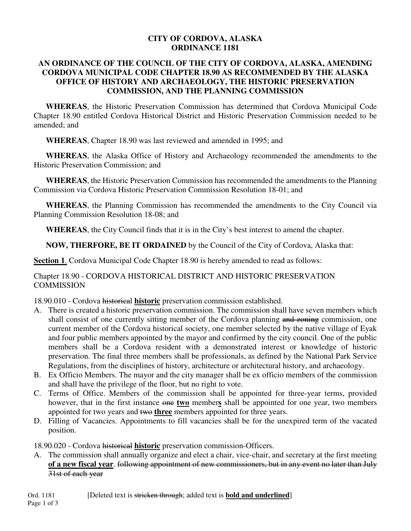#### **CITY OF CORDOVA, ALASKA ORDINANCE 1181**

#### **AN ORDINANCE OF THE COUNCIL OF THE CITY OF CORDOVA, ALASKA, AMENDING CORDOVA MUNICIPAL CODE CHAPTER 18.90 AS RECOMMENDED BY THE ALASKA OFFICE OF HISTORY AND ARCHAEOLOGY, THE HISTORIC PRESERVATION COMMISSION, AND THE PLANNING COMMISSION**

**WHEREAS**, the Historic Preservation Commission has determined that Cordova Municipal Code Chapter 18.90 entitled Cordova Historical District and Historic Preservation Commission needed to be amended; and

**WHEREAS**, Chapter 18.90 was last reviewed and amended in 1995; and

**WHEREAS**, the Alaska Office of History and Archaeology recommended the amendments to the Historic Preservation Commission; and

**WHEREAS**, the Historic Preservation Commission has recommended the amendments to the Planning Commission via Cordova Historic Preservation Commission Resolution 18-01; and

**WHEREAS**, the Planning Commission has recommended the amendments to the City Council via Planning Commission Resolution 18-08; and

**WHEREAS**, the City Council finds that it is in the City's best interest to amend the chapter.

**NOW, THERFORE, BE IT ORDAINED** by the Council of the City of Cordova, Alaska that:

**Section 1.** Cordova Municipal Code Chapter 18.90 is hereby amended to read as follows:

## Chapter 18.90 - CORDOVA HISTORICAL DISTRICT AND HISTORIC PRESERVATION **COMMISSION**

18.90.010 - Cordova historical **historic** preservation commission established.

- A. There is created a historic preservation commission. The commission shall have seven members which shall consist of one currently sitting member of the Cordova planning and zoning commission, one current member of the Cordova historical society, one member selected by the native village of Eyak and four public members appointed by the mayor and confirmed by the city council. One of the public members shall be a Cordova resident with a demonstrated interest or knowledge of historic preservation. The final three members shall be professionals, as defined by the National Park Service Regulations, from the disciplines of history, architecture or architectural history, and archaeology.
- B. Ex Officio Members. The mayor and the city manager shall be ex officio members of the commission and shall have the privilege of the floor, but no right to vote.
- C. Terms of Office. Members of the commission shall be appointed for three-year terms, provided however, that in the first instance one **two** member**s** shall be appointed for one year, two members appointed for two years and two **three** members appointed for three years.
- D. Filling of Vacancies. Appointments to fill vacancies shall be for the unexpired term of the vacated position.

18.90.020 - Cordova historical historic preservation commission-Officers.

A. The commission shall annually organize and elect a chair, vice-chair, and secretary at the first meeting **of a new fiscal year**. following appointment of new commissioners, but in any event no later than July 31st of each year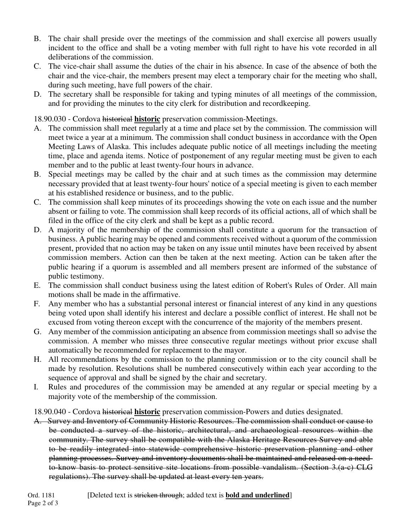- B. The chair shall preside over the meetings of the commission and shall exercise all powers usually incident to the office and shall be a voting member with full right to have his vote recorded in all deliberations of the commission.
- C. The vice-chair shall assume the duties of the chair in his absence. In case of the absence of both the chair and the vice-chair, the members present may elect a temporary chair for the meeting who shall, during such meeting, have full powers of the chair.
- D. The secretary shall be responsible for taking and typing minutes of all meetings of the commission, and for providing the minutes to the city clerk for distribution and recordkeeping.

## 18.90.030 - Cordova historical **historic** preservation commission-Meetings.

- A. The commission shall meet regularly at a time and place set by the commission. The commission will meet twice a year at a minimum. The commission shall conduct business in accordance with the Open Meeting Laws of Alaska. This includes adequate public notice of all meetings including the meeting time, place and agenda items. Notice of postponement of any regular meeting must be given to each member and to the public at least twenty-four hours in advance.
- B. Special meetings may be called by the chair and at such times as the commission may determine necessary provided that at least twenty-four hours' notice of a special meeting is given to each member at his established residence or business, and to the public.
- C. The commission shall keep minutes of its proceedings showing the vote on each issue and the number absent or failing to vote. The commission shall keep records of its official actions, all of which shall be filed in the office of the city clerk and shall be kept as a public record.
- D. A majority of the membership of the commission shall constitute a quorum for the transaction of business. A public hearing may be opened and comments received without a quorum of the commission present, provided that no action may be taken on any issue until minutes have been received by absent commission members. Action can then be taken at the next meeting. Action can be taken after the public hearing if a quorum is assembled and all members present are informed of the substance of public testimony.
- E. The commission shall conduct business using the latest edition of Robert's Rules of Order. All main motions shall be made in the affirmative.
- F. Any member who has a substantial personal interest or financial interest of any kind in any questions being voted upon shall identify his interest and declare a possible conflict of interest. He shall not be excused from voting thereon except with the concurrence of the majority of the members present.
- G. Any member of the commission anticipating an absence from commission meetings shall so advise the commission. A member who misses three consecutive regular meetings without prior excuse shall automatically be recommended for replacement to the mayor.
- H. All recommendations by the commission to the planning commission or to the city council shall be made by resolution. Resolutions shall be numbered consecutively within each year according to the sequence of approval and shall be signed by the chair and secretary.
- I. Rules and procedures of the commission may be amended at any regular or special meeting by a majority vote of the membership of the commission.

### 18.90.040 - Cordova historical **historic** preservation commission-Powers and duties designated.

A. Survey and Inventory of Community Historic Resources. The commission shall conduct or cause to be conducted a survey of the historic, architectural, and archaeological resources within the community. The survey shall be compatible with the Alaska Heritage Resources Survey and able to be readily integrated into statewide comprehensive historic preservation planning and other planning processes. Survey and inventory documents shall be maintained and released on a needto-know basis to protect sensitive site locations from possible vandalism. (Section 3.(a-c) CLG regulations). The survey shall be updated at least every ten years.